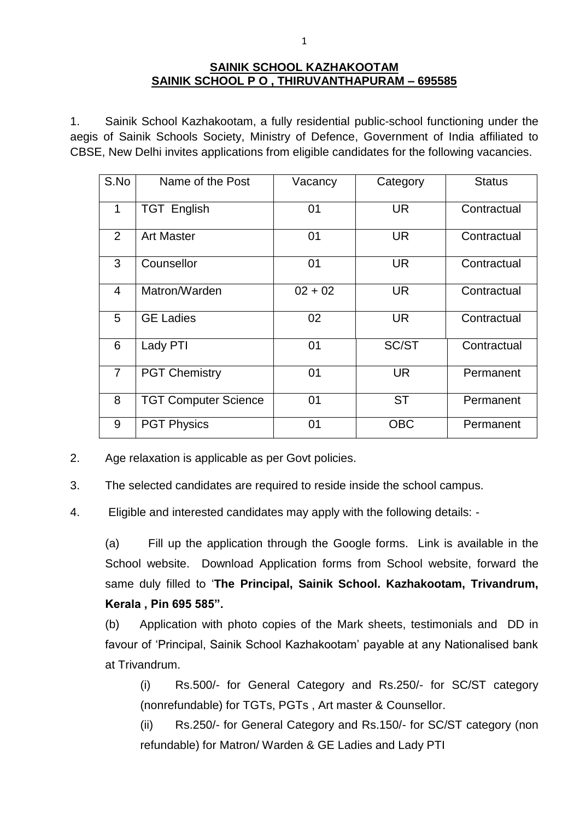## **SAINIK SCHOOL KAZHAKOOTAM SAINIK SCHOOL P O , THIRUVANTHAPURAM – 695585**

1. Sainik School Kazhakootam, a fully residential public-school functioning under the aegis of Sainik Schools Society, Ministry of Defence, Government of India affiliated to CBSE, New Delhi invites applications from eligible candidates for the following vacancies.

| S.No           | Name of the Post            | Vacancy   | Category   | <b>Status</b> |
|----------------|-----------------------------|-----------|------------|---------------|
| 1              | <b>TGT English</b>          | 01        | <b>UR</b>  | Contractual   |
| 2              | <b>Art Master</b>           | 01        | <b>UR</b>  | Contractual   |
| 3              | Counsellor                  | 01        | <b>UR</b>  | Contractual   |
| $\overline{4}$ | Matron/Warden               | $02 + 02$ | <b>UR</b>  | Contractual   |
| 5              | <b>GE Ladies</b>            | 02        | <b>UR</b>  | Contractual   |
| 6              | Lady PTI                    | 01        | SC/ST      | Contractual   |
| $\overline{7}$ | <b>PGT Chemistry</b>        | 01        | <b>UR</b>  | Permanent     |
| 8              | <b>TGT Computer Science</b> | 01        | <b>ST</b>  | Permanent     |
| 9              | <b>PGT Physics</b>          | 01        | <b>OBC</b> | Permanent     |

- 2. Age relaxation is applicable as per Govt policies.
- 3. The selected candidates are required to reside inside the school campus.
- 4. Eligible and interested candidates may apply with the following details: -

(a) Fill up the application through the Google forms. Link is available in the School website. Download Application forms from School website, forward the same duly filled to '**The Principal, Sainik School. Kazhakootam, Trivandrum, Kerala , Pin 695 585".** 

(b) Application with photo copies of the Mark sheets, testimonials and DD in favour of 'Principal, Sainik School Kazhakootam' payable at any Nationalised bank at Trivandrum.

(i) Rs.500/- for General Category and Rs.250/- for SC/ST category (nonrefundable) for TGTs, PGTs , Art master & Counsellor.

(ii) Rs.250/- for General Category and Rs.150/- for SC/ST category (non refundable) for Matron/ Warden & GE Ladies and Lady PTI